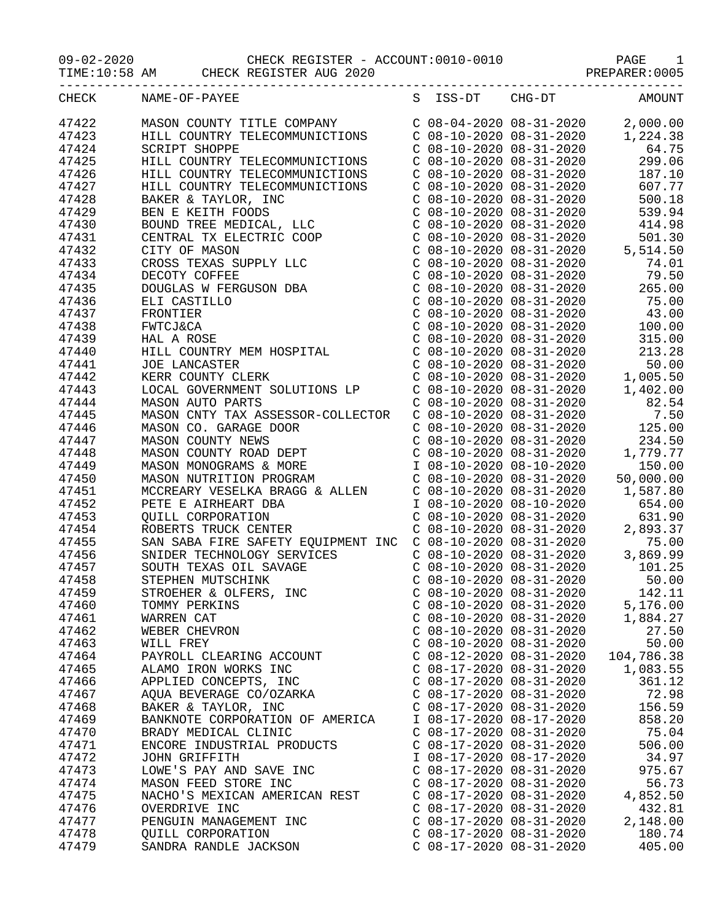09-02-2020 CHECK REGISTER - ACCOUNT:0010-0010 PAGE 1

TIME:10:58 AM CHECK REGISTER AUG 2020 PREPARER:0005

|       | CHECK NAME-OF-PAYEE                                                                                                                                                                                                                                                                                                                                                                                                                                                                           |                           | S ISS-DT CHG-DT AMOUNT             |
|-------|-----------------------------------------------------------------------------------------------------------------------------------------------------------------------------------------------------------------------------------------------------------------------------------------------------------------------------------------------------------------------------------------------------------------------------------------------------------------------------------------------|---------------------------|------------------------------------|
| 47422 | MASON COUNTY TITLE COMPANY<br>HILL COUNTRY TELECOMMUNICTIONS<br>SCRIPT SHOPPE<br>C 08-10-2020 08-31-2020 1,224.38<br>C 08-10-2020 08-31-2020 64.75<br>HILL COUNTRY TELECOMMUNICTIONS C 08-10-2020 08-31-2020 299.06                                                                                                                                                                                                                                                                           |                           |                                    |
| 47423 |                                                                                                                                                                                                                                                                                                                                                                                                                                                                                               |                           |                                    |
| 47424 |                                                                                                                                                                                                                                                                                                                                                                                                                                                                                               |                           |                                    |
| 47425 |                                                                                                                                                                                                                                                                                                                                                                                                                                                                                               |                           |                                    |
| 47426 | HILL COUNTRY TELECOMMUNICTIONS                                                                                                                                                                                                                                                                                                                                                                                                                                                                |                           | C 08-10-2020 08-31-2020 187.10     |
| 47427 | HILL COUNTRY TELECOMMUNICTIONS                                                                                                                                                                                                                                                                                                                                                                                                                                                                | C 08-10-2020 08-31-2020   | 607.77                             |
| 47428 |                                                                                                                                                                                                                                                                                                                                                                                                                                                                                               |                           |                                    |
| 47429 | $\begin{tabular}{l c c c c c} {\it HILL COUNTRY TELECOMMUNICTIONS} & $\cal C~08-10-2020~08-31-2020 & 607.77$ \cr \noindent {\it BARK R-K TAYLOR, IUC} & $\cal C~08-10-2020~08-31-2020 & 500.18 \\ \noindent {\it BEN R-KEITR T FODS} & $\cal C~08-10-2020~08-31-2020 & 510.30 \\ \noindent {\it BUND TREE MEDICAL, LLC} & $\cal C~08-10-2020~08-31-2020 & 51$                                                                                                                                 |                           |                                    |
| 47430 |                                                                                                                                                                                                                                                                                                                                                                                                                                                                                               |                           |                                    |
| 47431 |                                                                                                                                                                                                                                                                                                                                                                                                                                                                                               |                           |                                    |
| 47432 |                                                                                                                                                                                                                                                                                                                                                                                                                                                                                               |                           |                                    |
| 47433 |                                                                                                                                                                                                                                                                                                                                                                                                                                                                                               |                           |                                    |
|       |                                                                                                                                                                                                                                                                                                                                                                                                                                                                                               |                           |                                    |
| 47434 |                                                                                                                                                                                                                                                                                                                                                                                                                                                                                               |                           |                                    |
| 47435 |                                                                                                                                                                                                                                                                                                                                                                                                                                                                                               |                           |                                    |
| 47436 |                                                                                                                                                                                                                                                                                                                                                                                                                                                                                               |                           |                                    |
| 47437 |                                                                                                                                                                                                                                                                                                                                                                                                                                                                                               |                           |                                    |
| 47438 |                                                                                                                                                                                                                                                                                                                                                                                                                                                                                               |                           |                                    |
| 47439 |                                                                                                                                                                                                                                                                                                                                                                                                                                                                                               |                           |                                    |
| 47440 |                                                                                                                                                                                                                                                                                                                                                                                                                                                                                               |                           |                                    |
| 47441 |                                                                                                                                                                                                                                                                                                                                                                                                                                                                                               |                           |                                    |
| 47442 |                                                                                                                                                                                                                                                                                                                                                                                                                                                                                               |                           |                                    |
| 47443 |                                                                                                                                                                                                                                                                                                                                                                                                                                                                                               |                           |                                    |
| 47444 |                                                                                                                                                                                                                                                                                                                                                                                                                                                                                               |                           |                                    |
| 47445 |                                                                                                                                                                                                                                                                                                                                                                                                                                                                                               |                           |                                    |
| 47446 |                                                                                                                                                                                                                                                                                                                                                                                                                                                                                               |                           |                                    |
| 47447 | MASON AUTO PARTS<br>MASON CNTY TAX ASSESSOR-COLLECTOR<br>MASON CO. GARAGE DOOR COLLECTOR C 08-10-2020 08-31-2020 7.50<br>MASON CO. GARAGE DOOR C 08-10-2020 08-31-2020 7.50<br>C 08-10-2020 08-31-2020 125.00<br>C 08-10-2020 08-31-202<br>MASON COUNTY NEWS<br>MASON COUNTY NEWS<br>MASON COUNTY NEWS<br>MASON COUNTY ROAD DEPT<br>MASON COUNTY ROAD DEPT<br>CO8-10-2020 08-31-2020<br>CO8-10-2020 08-31-2020<br>CO8-10-2020 08-31-2020<br>1,779.77<br>MASON MONOGRAMS & MORE<br>MASON NUTRI |                           |                                    |
| 47448 |                                                                                                                                                                                                                                                                                                                                                                                                                                                                                               |                           |                                    |
| 47449 |                                                                                                                                                                                                                                                                                                                                                                                                                                                                                               |                           |                                    |
| 47450 |                                                                                                                                                                                                                                                                                                                                                                                                                                                                                               |                           |                                    |
| 47451 |                                                                                                                                                                                                                                                                                                                                                                                                                                                                                               |                           |                                    |
| 47452 |                                                                                                                                                                                                                                                                                                                                                                                                                                                                                               |                           |                                    |
| 47453 |                                                                                                                                                                                                                                                                                                                                                                                                                                                                                               |                           |                                    |
| 47454 |                                                                                                                                                                                                                                                                                                                                                                                                                                                                                               |                           |                                    |
| 47455 |                                                                                                                                                                                                                                                                                                                                                                                                                                                                                               |                           | $C$ 08-10-2020 08-31-2020 2,893.37 |
|       |                                                                                                                                                                                                                                                                                                                                                                                                                                                                                               |                           |                                    |
| 47456 |                                                                                                                                                                                                                                                                                                                                                                                                                                                                                               |                           |                                    |
| 47457 | SAN SABA FIRE SAFETY EQUIPMENT INC C 08-10-2020 08-31-2020<br>SNIDER TECHNOLOGY SERVICES C 08-10-2020 08-31-2020 3,869.99<br>SOUTH TEXAS OIL SAVAGE C 08-10-2020 08-31-2020 3,869.99<br>STEPHEN MUTSCHINK C 08-10-2020 08-31-2020 10<br>SNIDER TECHNOLOGY SERVICES<br>SOUTH TEXAS OIL SAVAGE<br>STEPHEN MUTSCHINK<br>STROEHER & OLFERS, INC                                                                                                                                                   |                           |                                    |
| 47458 |                                                                                                                                                                                                                                                                                                                                                                                                                                                                                               |                           |                                    |
| 47459 |                                                                                                                                                                                                                                                                                                                                                                                                                                                                                               | C 08-10-2020 08-31-2020   | 142.11                             |
| 47460 | TOMMY PERKINS                                                                                                                                                                                                                                                                                                                                                                                                                                                                                 | $C$ 08-10-2020 08-31-2020 | 5,176.00                           |
| 47461 | WARREN CAT                                                                                                                                                                                                                                                                                                                                                                                                                                                                                    | $C$ 08-10-2020 08-31-2020 | 1,884.27                           |
| 47462 | WEBER CHEVRON                                                                                                                                                                                                                                                                                                                                                                                                                                                                                 | $C$ 08-10-2020 08-31-2020 | 27.50                              |
| 47463 | WILL FREY                                                                                                                                                                                                                                                                                                                                                                                                                                                                                     | $C$ 08-10-2020 08-31-2020 | 50.00                              |
| 47464 | PAYROLL CLEARING ACCOUNT                                                                                                                                                                                                                                                                                                                                                                                                                                                                      | $C$ 08-12-2020 08-31-2020 | 104,786.38                         |
| 47465 | ALAMO IRON WORKS INC                                                                                                                                                                                                                                                                                                                                                                                                                                                                          | $C$ 08-17-2020 08-31-2020 | 1,083.55                           |
| 47466 | APPLIED CONCEPTS, INC                                                                                                                                                                                                                                                                                                                                                                                                                                                                         | $C$ 08-17-2020 08-31-2020 | 361.12                             |
| 47467 | AQUA BEVERAGE CO/OZARKA                                                                                                                                                                                                                                                                                                                                                                                                                                                                       | $C$ 08-17-2020 08-31-2020 | 72.98                              |
| 47468 | BAKER & TAYLOR, INC                                                                                                                                                                                                                                                                                                                                                                                                                                                                           | $C$ 08-17-2020 08-31-2020 | 156.59                             |
| 47469 | BANKNOTE CORPORATION OF AMERICA                                                                                                                                                                                                                                                                                                                                                                                                                                                               | I 08-17-2020 08-17-2020   | 858.20                             |
| 47470 | BRADY MEDICAL CLINIC                                                                                                                                                                                                                                                                                                                                                                                                                                                                          | $C$ 08-17-2020 08-31-2020 | 75.04                              |
| 47471 | ENCORE INDUSTRIAL PRODUCTS                                                                                                                                                                                                                                                                                                                                                                                                                                                                    | $C$ 08-17-2020 08-31-2020 | 506.00                             |
| 47472 | JOHN GRIFFITH                                                                                                                                                                                                                                                                                                                                                                                                                                                                                 | I 08-17-2020 08-17-2020   | 34.97                              |
| 47473 | LOWE'S PAY AND SAVE INC                                                                                                                                                                                                                                                                                                                                                                                                                                                                       | $C$ 08-17-2020 08-31-2020 | 975.67                             |
| 47474 | MASON FEED STORE INC                                                                                                                                                                                                                                                                                                                                                                                                                                                                          | $C$ 08-17-2020 08-31-2020 | 56.73                              |
| 47475 | NACHO'S MEXICAN AMERICAN REST                                                                                                                                                                                                                                                                                                                                                                                                                                                                 | $C$ 08-17-2020 08-31-2020 | 4,852.50                           |
| 47476 | OVERDRIVE INC                                                                                                                                                                                                                                                                                                                                                                                                                                                                                 | $C$ 08-17-2020 08-31-2020 | 432.81                             |
| 47477 | PENGUIN MANAGEMENT INC                                                                                                                                                                                                                                                                                                                                                                                                                                                                        | $C$ 08-17-2020 08-31-2020 | 2,148.00                           |
|       |                                                                                                                                                                                                                                                                                                                                                                                                                                                                                               | $C$ 08-17-2020 08-31-2020 | 180.74                             |
| 47478 | <b>QUILL CORPORATION</b>                                                                                                                                                                                                                                                                                                                                                                                                                                                                      |                           |                                    |
| 47479 | SANDRA RANDLE JACKSON                                                                                                                                                                                                                                                                                                                                                                                                                                                                         | $C$ 08-17-2020 08-31-2020 | 405.00                             |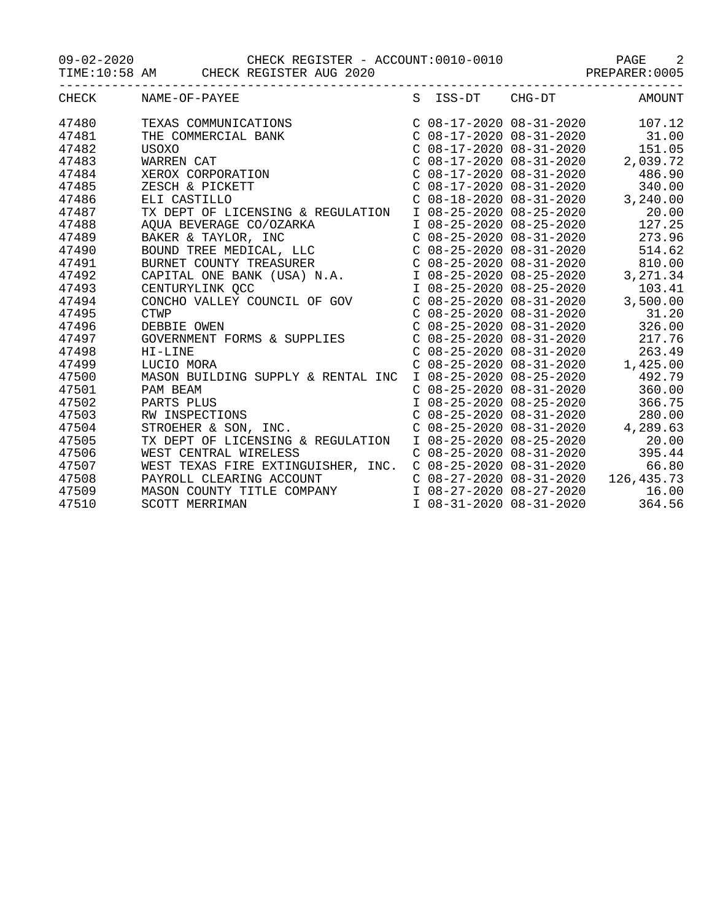09-02-2020 CHECK REGISTER - ACCOUNT:0010-0010 PAGE 2

TIME:10:58 AM CHECK REGISTER AUG 2020 PREPARER:0005

| CHECK | NAME-OF-PAYEE                      |                           | S ISS-DT CHG-DT           | AMOUNT                           |
|-------|------------------------------------|---------------------------|---------------------------|----------------------------------|
| 47480 | TEXAS COMMUNICATIONS               |                           |                           | $C$ 08-17-2020 08-31-2020 107.12 |
| 47481 | THE COMMERCIAL BANK                |                           |                           | $C$ 08-17-2020 08-31-2020 31.00  |
| 47482 | USOXO                              |                           | $C$ 08-17-2020 08-31-2020 | 151.05                           |
| 47483 | WARREN CAT                         |                           | $C$ 08-17-2020 08-31-2020 | 2,039.72                         |
| 47484 | XEROX CORPORATION                  | $C$ 08-17-2020 08-31-2020 |                           | 486.90                           |
| 47485 | ZESCH & PICKETT                    |                           | C 08-17-2020 08-31-2020   | 340.00                           |
| 47486 | ELI CASTILLO                       |                           | $C$ 08-18-2020 08-31-2020 | 3,240.00                         |
| 47487 | TX DEPT OF LICENSING & REGULATION  | I 08-25-2020 08-25-2020   |                           | 20.00                            |
| 47488 | AQUA BEVERAGE CO/OZARKA            | I 08-25-2020 08-25-2020   |                           | 127.25                           |
| 47489 | BAKER & TAYLOR, INC                | $C$ 08-25-2020 08-31-2020 |                           | 273.96                           |
| 47490 | BOUND TREE MEDICAL, LLC            | $C$ 08-25-2020 08-31-2020 |                           | 514.62                           |
| 47491 | BURNET COUNTY TREASURER            |                           | $C$ 08-25-2020 08-31-2020 | 810.00                           |
| 47492 | CAPITAL ONE BANK (USA) N.A.        |                           | I 08-25-2020 08-25-2020   | 3,271.34                         |
| 47493 | CENTURYLINK QCC                    | I 08-25-2020 08-25-2020   |                           | 103.41                           |
| 47494 | CONCHO VALLEY COUNCIL OF GOV       | $C$ 08-25-2020 08-31-2020 |                           | 3,500.00                         |
| 47495 | <b>CTWP</b>                        | $C$ 08-25-2020 08-31-2020 |                           | 31.20                            |
| 47496 | DEBBIE OWEN                        |                           | $C$ 08-25-2020 08-31-2020 | 326.00                           |
| 47497 | GOVERNMENT FORMS & SUPPLIES        | $C$ 08-25-2020 08-31-2020 |                           | 217.76                           |
| 47498 | HI-LINE                            | $C$ 08-25-2020 08-31-2020 |                           | 263.49                           |
| 47499 | LUCIO MORA                         | $C$ 08-25-2020 08-31-2020 |                           | 1,425.00                         |
| 47500 | MASON BUILDING SUPPLY & RENTAL INC | I 08-25-2020 08-25-2020   |                           | 492.79                           |
| 47501 | PAM BEAM                           |                           | C 08-25-2020 08-31-2020   | 360.00                           |
| 47502 | PARTS PLUS<br>TNC.<br>TNC.         |                           | I 08-25-2020 08-25-2020   | 366.75                           |
| 47503 | RW INSPECTIONS                     |                           | $C$ 08-25-2020 08-31-2020 | 280.00                           |
| 47504 | STROEHER & SON, INC.               | $C$ 08-25-2020 08-31-2020 |                           | 4,289.63                         |
| 47505 | TX DEPT OF LICENSING & REGULATION  | I 08-25-2020 08-25-2020   |                           | 20.00                            |
| 47506 | WEST CENTRAL WIRELESS              |                           | C 08-25-2020 08-31-2020   | 395.44                           |
| 47507 | WEST TEXAS FIRE EXTINGUISHER, INC. | $C$ 08-25-2020 08-31-2020 |                           | 66.80                            |
| 47508 | PAYROLL CLEARING ACCOUNT           | $C$ 08-27-2020 08-31-2020 |                           | 126, 435. 73                     |
| 47509 | MASON COUNTY TITLE COMPANY         | I 08-27-2020 08-27-2020   |                           | 16.00                            |
| 47510 | SCOTT MERRIMAN                     | I 08-31-2020 08-31-2020   |                           | 364.56                           |